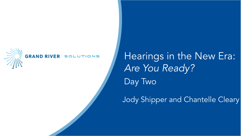

#### GRAND RIVER SOLUTIONS

Hearings in the New Era: *Are You Ready?* Day Two

Jody Shipper and Chantelle Cleary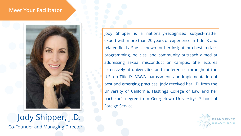#### **Meet Your Facilitator**



#### Jody Shipper, J.D. Co-Founder and Managing Director

Jody Shipper is a nationally-recognized subject-matter expert with more than 20 years of experience in Title IX and related fields. She is known for her insight into best-in-class programming, policies, and community outreach aimed at addressing sexual misconduct on campus. She lectures extensively at universities and conferences throughout the U.S. on Title IX, VAWA, harassment, and implementation of best and emerging practices. Jody received her J.D. from the University of California, Hastings College of Law and her bachelor's degree from Georgetown University's School of Foreign Service.

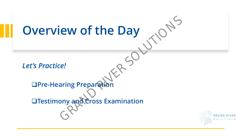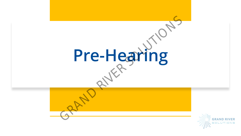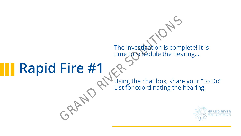## **Rapid Fire #1**

Using the chat box, share your "To Do" List for coordinating the hearing. The investigation is comprime to schedule the head<br>
Fire #1<br>
Using the chat box, share<br>
List for coordinating the

The investigation is complete! It is

time to schedule the hearing...

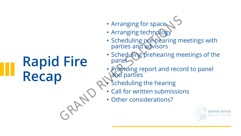### **Rapid Fire Recap**

- Arranging for space
- Arranging technology
- Scheduling pre-hearing meetings with parties and advisors Fire<br>
Scheduling pre-hearing m<br>
Fire<br>
Fire<br>
Scheduling pre-hearing me<br>
Providing report and reco<br>
Providing report and reco<br>
Providing report and reco<br>
Providing report and reco<br>
CREC Conter considerations?
	- Scheduling prehearing meetings of the panel
	- Providing report and record to panel and parties
	- **Scheduling the hearing**
	- Call for written submissions
		- Other considerations?

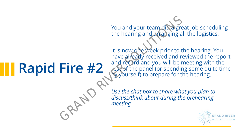## **Rapid Fire #2**

You and your team did a great job scheduling the hearing and arranging all the logistics.

It is now one week prior to the hearing. You have already received and reviewed the report and record and you will be meeting with the rest of the panel (or spending some quite time by yourself) to prepare for the hearing. You and your team did a gre<br>the hearing and artanging a<br>tt is now one week prior to the<br>have already received and re<br>and record and you will be respected the panel (or spendir<br>by yourself) to prepare for the<br>discuss/think

*Use the chat box to share what you plan to discuss/think about during the prehearing meeting.*

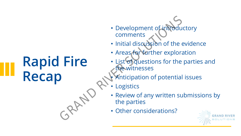### **Rapid Fire Recap**

- Development of introductory comments • Development of introducemments<br>
• Initial discussion of the<br>
• Areas for further explorary<br>
• List of questions for the<br>
• Contenting the parties<br>
• Review of any written surful the parties<br>
• Other considerations?
	- Initial discussion of the evidence
	- Areas for further exploration
	- List of questions for the parties and the witnesses
		- Anticipation of potential issues
	- **Logistics**
	- Review of any written submissions by the parties
	- Other considerations?

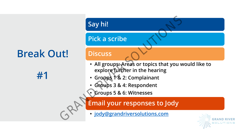### **Break Out!**

**#1**

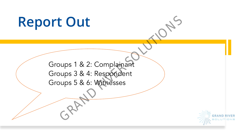# **Report Out** Groups 1 & 2: Complainant Groups 3 & 4: Respondent Groups 5 & 6: Witnesses CRAND CRAND CRAND CRAND CRAND CRAND CRAND CRAND CRAND CRAND CRAND CRAND CRAND CRAND CRAND CRAND CRAND CRAND CRAND CRAND CRAND CRAND CRAND CRAND CRAND CRAND CRAND CRAND CRAND CRAND CRAND CRAND CRAND CRAND CRAND CRAND CRAND

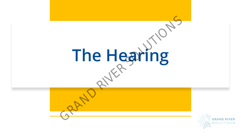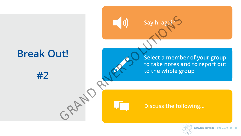

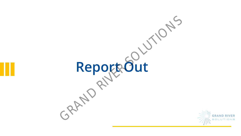

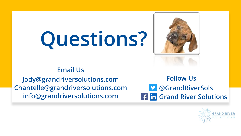# **Questions?**



#### **Email Us**

**Jody@grandriversolutions.com Chantelle@grandriversolutions.com info@grandriversolutions.com**

**@GrandRiverSols Grand River Solutions Follow Us**